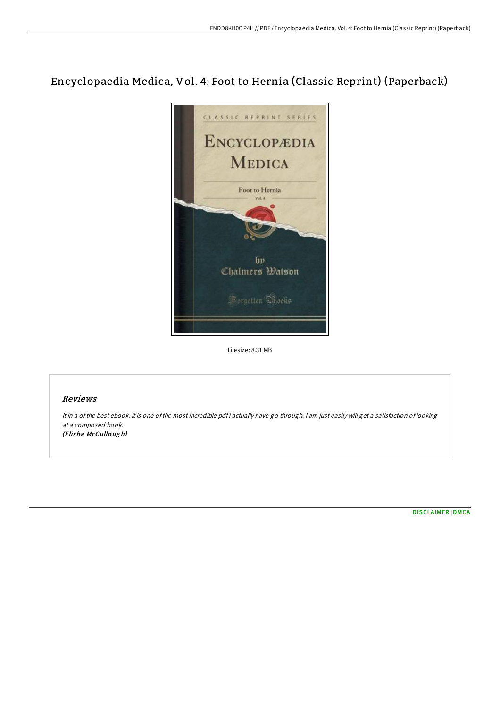# Encyclopaedia Medica, Vol. 4: Foot to Hernia (Classic Reprint) (Paperback)



Filesize: 8.31 MB

### Reviews

It in a of the best ebook. It is one of the most incredible pdf i actually have go through. I am just easily will get a satisfaction of looking at <sup>a</sup> composed book. (Elisha McCullo ug h)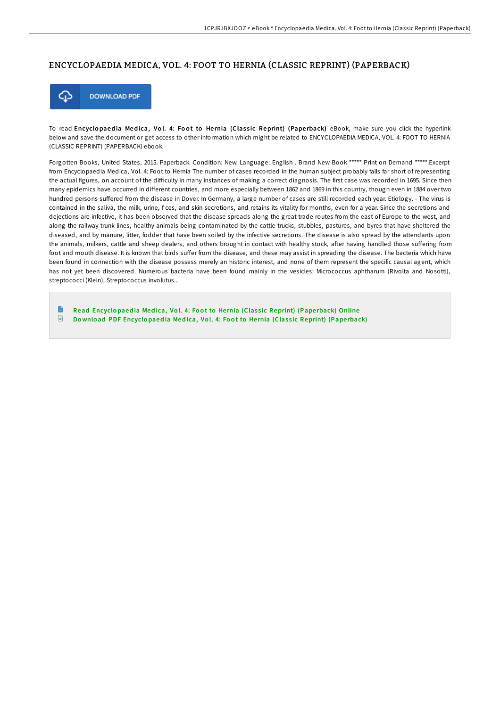## ENCYCLOPAEDIA MEDICA, VOL. 4: FOOT TO HERNIA (CLASSIC REPRINT) (PAPERBACK)



To read Encyclopaedia Medica, Vol. 4: Foot to Hernia (Classic Reprint) (Paperback) eBook, make sure you click the hyperlink below and save the document or get access to other information which might be related to ENCYCLOPAEDIA MEDICA, VOL. 4: FOOT TO HERNIA (CLASSIC REPRINT) (PAPERBACK) ebook.

Forgotten Books, United States, 2015. Paperback. Condition: New. Language: English . Brand New Book \*\*\*\*\* Print on Demand \*\*\*\*\*.Excerpt from Encyclopaedia Medica, Vol. 4: Foot to Hernia The number of cases recorded in the human subject probably falls far short of representing the actual figures, on account of the difficulty in many instances of making a correct diagnosis. The first case was recorded in 1695. Since then many epidemics have occurred in different countries, and more especially between 1862 and 1869 in this country, though even in 1884 over two hundred persons suffered from the disease in Dover. In Germany, a large number of cases are still recorded each year. Etiology. - The virus is contained in the saliva, the milk, urine, f ces, and skin secretions, and retains its vitality for months, even for a year. Since the secretions and dejections are infective, it has been observed that the disease spreads along the great trade routes from the east of Europe to the west, and along the railway trunk lines, healthy animals being contaminated by the cattle-trucks, stubbles, pastures, and byres that have sheltered the diseased, and by manure, litter, fodder that have been soiled by the infective secretions. The disease is also spread by the attendants upon the animals, milkers, cattle and sheep dealers, and others brought in contact with healthy stock, after having handled those suffering from foot and mouth disease. It is known that birds suffer from the disease, and these may assist in spreading the disease. The bacteria which have been found in connection with the disease possess merely an historic interest, and none of them represent the specific causal agent, which has not yet been discovered. Numerous bacteria have been found mainly in the vesicles: Micrococcus aphtharum (Rivolta and Nosotti), streptococci (Klein), Streptococcus involutus...

Read Encyclopaedia Medica, Vol. 4: Foot to Hernia (Classic [Reprint\)](http://almighty24.tech/encyclopaedia-medica-vol-4-foot-to-hernia-classi.html) (Paperback) Online  $\mathbf{r}$ Download PDF Encyclopaedia Medica, Vol. 4: Foot to Hernia (Classic [Reprint\)](http://almighty24.tech/encyclopaedia-medica-vol-4-foot-to-hernia-classi.html) (Paperback)